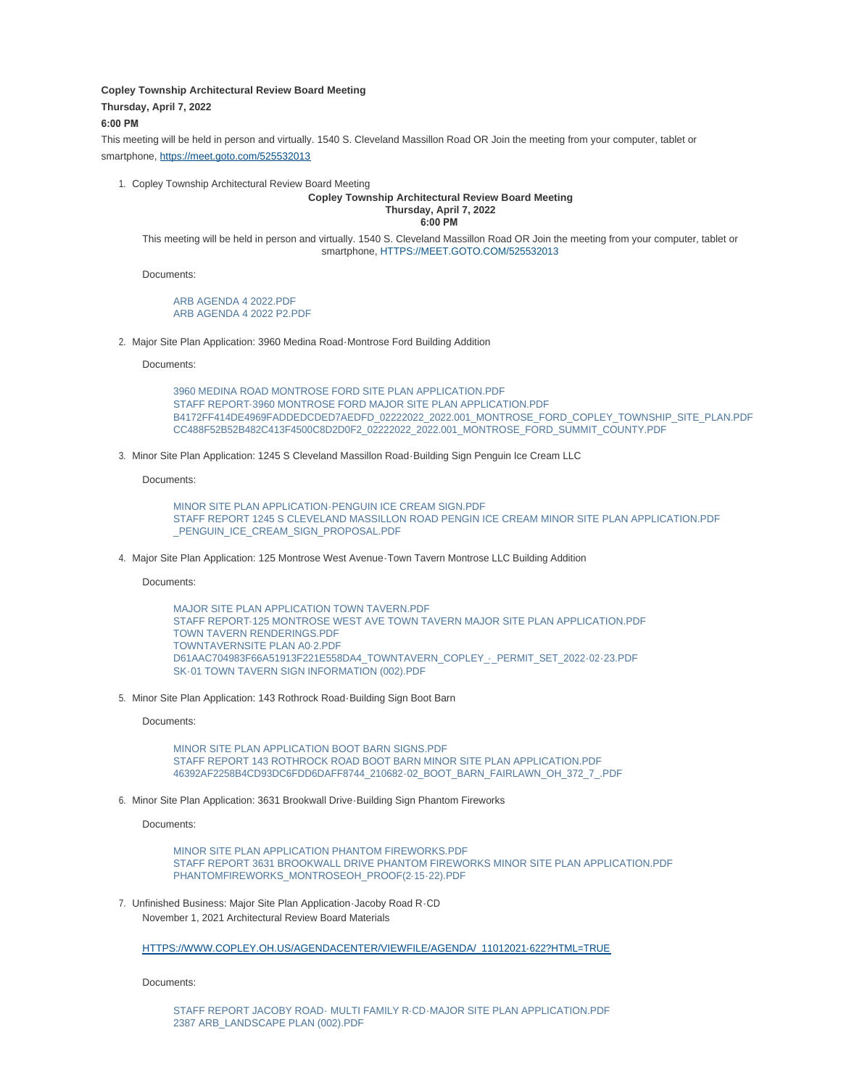**Copley Township Architectural Review Board Meeting**

**Thursday, April 7, 2022**

## **6:00 PM**

This meeting will be held in person and virtually. 1540 S. Cleveland Massillon Road OR Join the meeting from your computer, tablet or smartphone, [https://meet.goto.com/525532013](https://meet.goto.com/525532013?_ga=2.125587149.670174425.1647268501-1960992959.1637327156)

1. Copley Township Architectural Review Board Meeting

## **Copley Township Architectural Review Board Meeting Thursday, April 7, 2022**

**6:00 PM** 

This meeting will be held in person and virtually. 1540 S. Cleveland Massillon Road OR Join the meeting from your computer, tablet or smartphone, [HTTPS://MEET.GOTO.COM/525532013](https://meet.goto.com/525532013?_ga=2.125587149.670174425.1647268501-1960992959.1637327156)

Documents:

[ARB AGENDA 4 2022.PDF](https://www.copley.oh.us/AgendaCenter/ViewFile/Item/717?fileID=9012) [ARB AGENDA 4 2022 P2.PDF](https://www.copley.oh.us/AgendaCenter/ViewFile/Item/717?fileID=9013)

2. Major Site Plan Application: 3960 Medina Road-Montrose Ford Building Addition

Documents:

[3960 MEDINA ROAD MONTROSE FORD SITE PLAN APPLICATION.PDF](https://www.copley.oh.us/AgendaCenter/ViewFile/Item/718?fileID=8998) [STAFF REPORT-3960 MONTROSE FORD MAJOR SITE PLAN APPLICATION.PDF](https://www.copley.oh.us/AgendaCenter/ViewFile/Item/718?fileID=9008) [B4172FF414DE4969FADDEDCDED7AEDFD\\_02222022\\_2022.001\\_MONTROSE\\_FORD\\_COPLEY\\_TOWNSHIP\\_SITE\\_PLAN.PDF](https://www.copley.oh.us/AgendaCenter/ViewFile/Item/718?fileID=9005) [CC488F52B52B482C413F4500C8D2D0F2\\_02222022\\_2022.001\\_MONTROSE\\_FORD\\_SUMMIT\\_COUNTY.PDF](https://www.copley.oh.us/AgendaCenter/ViewFile/Item/718?fileID=9006)

3. Minor Site Plan Application: 1245 S Cleveland Massillon Road-Building Sign Penguin Ice Cream LLC

Documents:

[MINOR SITE PLAN APPLICATION-PENGUIN ICE CREAM SIGN.PDF](https://www.copley.oh.us/AgendaCenter/ViewFile/Item/719?fileID=8999) [STAFF REPORT 1245 S CLEVELAND MASSILLON ROAD PENGIN ICE CREAM MINOR SITE P](https://www.copley.oh.us/AgendaCenter/ViewFile/Item/719?fileID=9009)LAN APPLICATION.PDF PENGUIN\_ICE\_CREAM\_SIGN\_PROPOSAL.PDF

4. Major Site Plan Application: 125 Montrose West Avenue-Town Tavern Montrose LLC Building Addition

Documents:

[MAJOR SITE PLAN APPLICATION TOWN TAVERN.PDF](https://www.copley.oh.us/AgendaCenter/ViewFile/Item/720?fileID=8993) [STAFF REPORT-125 MONTROSE WEST AVE TOWN TAVERN MAJOR SITE PLAN A](https://www.copley.oh.us/AgendaCenter/ViewFile/Item/720?fileID=9007)PPLICATION.PDF [TOWN TAVERN RENDERINGS.PDF](https://www.copley.oh.us/AgendaCenter/ViewFile/Item/720?fileID=8994) [TOWNTAVERNSITE PLAN A0-2.PDF](https://www.copley.oh.us/AgendaCenter/ViewFile/Item/720?fileID=8995) D61AAC704983F66A51913F221E558DA4\_TOWNTAVERN\_COPLEY -\_ PERMIT\_SET\_2022-02-23.PDF [SK-01 TOWN TAVERN SIGN INFORMATION \(002\).PDF](https://www.copley.oh.us/AgendaCenter/ViewFile/Item/720?fileID=8997)

5. Minor Site Plan Application: 143 Rothrock Road-Building Sign Boot Barn

Documents:

[MINOR SITE PLAN APPLICATION BOOT BARN SIGNS.PDF](https://www.copley.oh.us/AgendaCenter/ViewFile/Item/721?fileID=9001) [STAFF REPORT 143 ROTHROCK ROAD BOOT BARN MINOR SITE PLAN APPLICATION.PDF](https://www.copley.oh.us/AgendaCenter/ViewFile/Item/721?fileID=9010) [46392AF2258B4CD93DC6FDD6DAFF8744\\_210682-02\\_BOOT\\_BARN\\_FAIRLAWN\\_OH\\_372\\_7\\_.PDF](https://www.copley.oh.us/AgendaCenter/ViewFile/Item/721?fileID=9002)

6. Minor Site Plan Application: 3631 Brookwall Drive Building Sign Phantom Fireworks

Documents:

[MINOR SITE PLAN APPLICATION PHANTOM FIREWORKS.PDF](https://www.copley.oh.us/AgendaCenter/ViewFile/Item/722?fileID=9003) [STAFF REPORT 3631 BROOKWALL DRIVE PHANTOM FIREWORKS MINOR SITE PLAN A](https://www.copley.oh.us/AgendaCenter/ViewFile/Item/722?fileID=9011)PPLICATION.PDF [PHANTOMFIREWORKS\\_MONTROSEOH\\_PROOF\(2-15-22\).PDF](https://www.copley.oh.us/AgendaCenter/ViewFile/Item/722?fileID=9004)

7. Unfinished Business: Major Site Plan Application Jacoby Road R CD November 1, 2021 Architectural Review Board Materials

[HTTPS://WWW.COPLEY.OH.US/AGENDACENTER/VIEWFILE/AGENDA/\\_11012021-622?HTML=TRUE](https://www.copley.oh.us/AgendaCenter/ViewFile/Agenda/_11012021-622?html=true)

Documents: